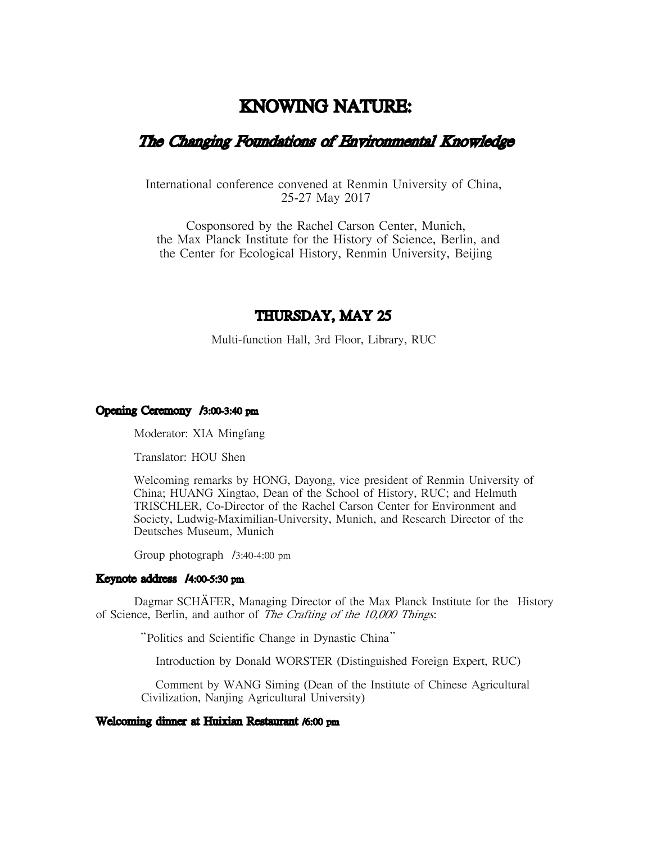# KNOWING NATURE:

# The Changing Foundations of Environmental Knowledge

International conference convened at Renmin University of China, 25-27 May 2017

Cosponsored by the Rachel Carson Center, Munich, the Max Planck Institute for the History of Science, Berlin, and the Center for Ecological History, Renmin University, Beijing

# THURSDAY, MAY 25

Multi-function Hall, 3rd Floor, Library, RUC

### Opening Ceremony /3:00-3:40 pm

Moderator: XIA Mingfang

Translator: HOU Shen

Welcoming remarks by HONG, Dayong, vice president of Renmin University of China; HUANG Xingtao, Dean of the School of History, RUC; and Helmuth TRISCHLER, Co-Director of the Rachel Carson Center for Environment and Society, Ludwig-Maximilian-University, Munich, and Research Director of the Deutsches Museum, Munich

Group photograph /3:40-4:00 pm

#### Keynote address /4:00-5:30 pm

Dagmar SCHAFER, Managing Director of the Max Planck Institute for the History of Science, Berlin, and author of *The Crafting of the 10,000 Things*:

"Politics and Scientific Change in Dynastic China"

Introduction by Donald WORSTER (Distinguished Foreign Expert, RUC)

Comment by WANG Siming (Dean of the Institute of Chinese Agricultural Civilization, Nanjing Agricultural University)

#### Welcoming dinner at Huixian Restaurant /6:00 pm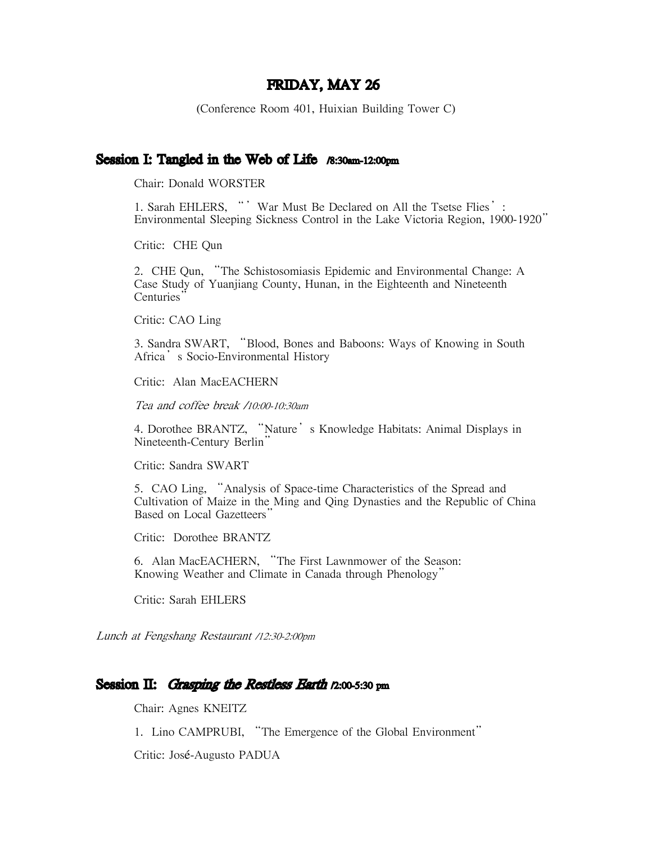# FRIDAY, MAY 26

(Conference Room 401, Huixian Building Tower C)

# Session I: Tangled in the Web of Life  $\beta$ :30am-12:00pm

Chair: Donald WORSTER

1. Sarah EHLERS, "' War Must Be Declared on All the Tsetse Flies': Environmental Sleeping Sickness Control in the Lake Victoria Region, 1900-1920"

Critic: CHE Qun

2. CHE Qun, "The Schistosomiasis Epidemic and Environmental Change: A Case Study of Yuanjiang County, Hunan, in the Eighteenth and Nineteenth Centuries'

Critic: CAO Ling

3. Sandra SWART, "Blood, Bones and Baboons: Ways of Knowing in South Africa's Socio-Environmental History

Critic: Alan MacEACHERN

Tea and coffee break /10:00-10:30am

4. Dorothee BRANTZ, "Nature' s Knowledge Habitats: Animal Displays in Nineteenth-Century Berlin"

Critic: Sandra SWART

5. CAO Ling, "Analysis of Space-time Characteristics of the Spread and Cultivation of Maize in the Ming and Qing Dynasties and the Republic of China Based on Local Gazetteers"

Critic: Dorothee BRANTZ

6. Alan MacEACHERN, "The First Lawnmower of the Season: Knowing Weather and Climate in Canada through Phenology"

Critic: Sarah EHLERS

Lunch at Fengshang Restaurant /12:30-2:00pm

# Session II: Grasping the Restless Earth  $p_2$ :00-5:30 pm

Chair: Agnes KNEITZ

1. Lino CAMPRUBI, "The Emergence of the Global Environment"

Critic: José-Augusto PADUA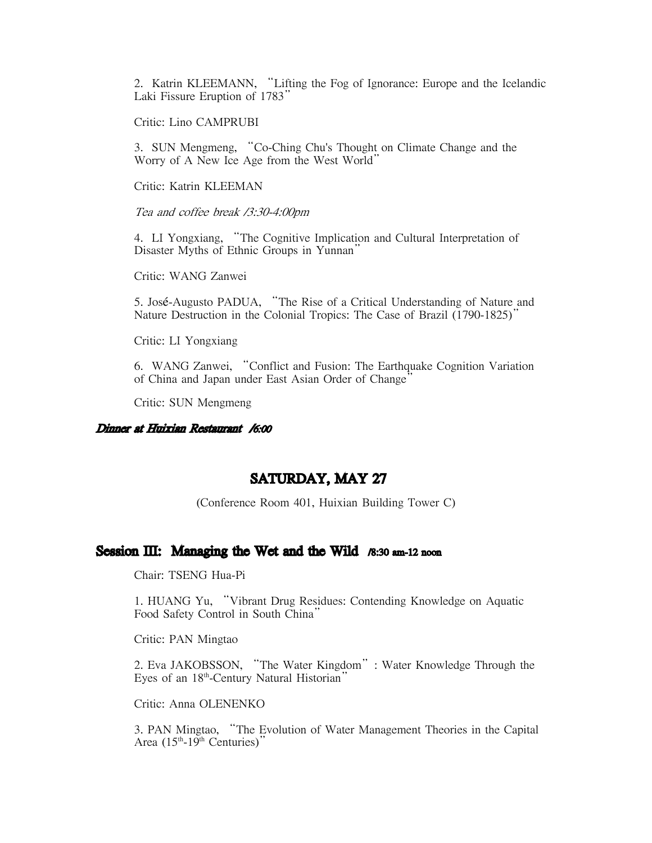2. Katrin KLEEMANN, "Lifting the Fog of Ignorance: Europe and the Icelandic Laki Fissure Eruption of 1783'

Critic: Lino CAMPRUBI

3. SUN Mengmeng, "Co-Ching Chu's Thought on Climate Change and the Worry of A New Ice Age from the West World"

Critic: Katrin KLEEMAN

Tea and coffee break /3:30-4:00pm

4. LI Yongxiang, "The Cognitive Implication and Cultural Interpretation of Disaster Myths of Ethnic Groups in Yunnan"

Critic: WANG Zanwei

5. José-Augusto PADUA, "The Rise of a Critical Understanding of Nature and Nature Destruction in the Colonial Tropics: The Case of Brazil (1790-1825)"

Critic: LI Yongxiang

6. WANG Zanwei, "Conflict and Fusion: The Earthquake Cognition Variation of China and Japan under East Asian Order of Change'

Critic: SUN Mengmeng

#### Dinner at Huixian Restaurant /6:00

# SATURDAY, MAY 27

(Conference Room 401, Huixian Building Tower C)

# Session  $III:$  Managing the Wet and the Wild  $\beta$ :30 am-12 noon

Chair: TSENG Hua-Pi

1. HUANG Yu, "Vibrant Drug Residues: Contending Knowledge on Aquatic Food Safety Control in South China"

Critic: PAN Mingtao

2. Eva JAKOBSSON, "The Water Kingdom": Water Knowledge Through the Eyes of an 18<sup>th</sup>-Century Natural Historian"

Critic: Anna OLENENKO

3. PAN Mingtao, "The Evolution of Water Management Theories in the Capital Area  $(15<sup>th</sup>-19<sup>th</sup>$  Centuries)"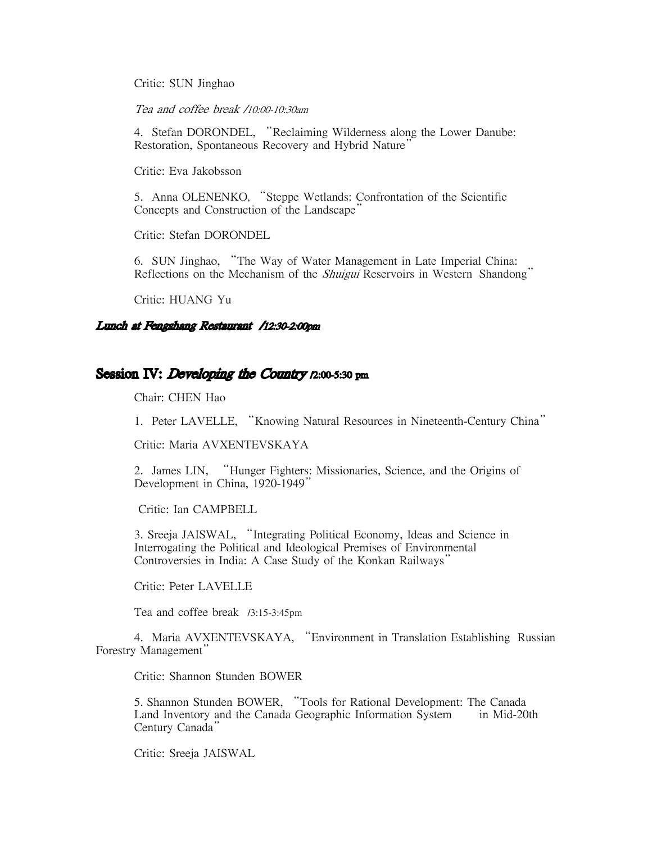Critic: SUN Jinghao

Tea and coffee break /10:00-10:30am

4. Stefan DORONDEL, "Reclaiming Wilderness along the Lower Danube: Restoration, Spontaneous Recovery and Hybrid Nature'

Critic: Eva Jakobsson

5. Anna OLENENKO, "Steppe Wetlands: Confrontation of the Scientific Concepts and Construction of the Landscape"

Critic: Stefan DORONDEL

6. SUN Jinghao, "The Way of Water Management in Late Imperial China: Reflections on the Mechanism of the *Shuigui* Reservoirs in Western Shandong"

Critic: HUANG Yu

### Lunch at Fengshang Restaurant /12:30-2:00pm

# Session IV: *Developing the Country*  $n:00-5:30$  pm

Chair: CHEN Hao

1. Peter LAVELLE, "Knowing Natural Resources in Nineteenth-Century China"

Critic: Maria AVXENTEVSKAYA

2. James LIN, "Hunger Fighters: Missionaries, Science, and the Origins of Development in China, 1920-1949'

Critic: Ian CAMPBELL

3. Sreeja JAISWAL, "Integrating Political Economy, Ideas and Science in Interrogating the Political and Ideological Premises of Environmental Controversies in India: A Case Study of the Konkan Railways"

Critic: Peter LAVELLE

Tea and coffee break /3:15-3:45pm

4. Maria AVXENTEVSKAYA, "Environment in Translation Establishing Russian Forestry Management"

Critic: Shannon Stunden BOWER

5. Shannon Stunden BOWER, "Tools for Rational Development: The Canada Land Inventory and the Canada Geographic Information System in Mid-20th Century Canada"

Critic: Sreeja JAISWAL